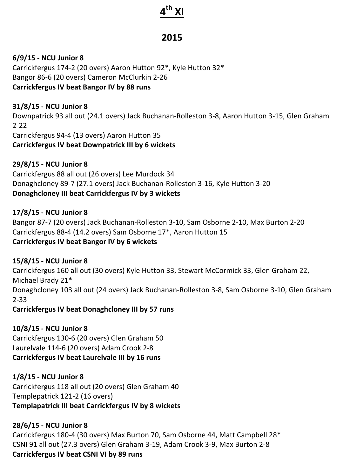# **4th XI**

# **2015**

#### **6/9/15 - NCU Junior 8**

Carrickfergus 174-2 (20 overs) Aaron Hutton 92\*, Kyle Hutton 32\* Bangor 86-6 (20 overs) Cameron McClurkin 2-26 **Carrickfergus IV beat Bangor IV by 88 runs** 

#### **31/8/15 - NCU Junior 8**

Downpatrick 93 all out (24.1 overs) Jack Buchanan-Rolleston 3-8, Aaron Hutton 3-15, Glen Graham 2-22 Carrickfergus 94-4 (13 overs) Aaron Hutton 35

**Carrickfergus IV beat Downpatrick III by 6 wickets** 

## **29/8/15 - NCU Junior 8**

Carrickfergus 88 all out (26 overs) Lee Murdock 34 Donaghcloney 89-7 (27.1 overs) Jack Buchanan-Rolleston 3-16, Kyle Hutton 3-20 **Donaghcloney III beat Carrickfergus IV by 3 wickets**

#### **17/8/15 - NCU Junior 8**

Bangor 87-7 (20 overs) Jack Buchanan-Rolleston 3-10, Sam Osborne 2-10, Max Burton 2-20 Carrickfergus 88-4 (14.2 overs) Sam Osborne 17\*, Aaron Hutton 15 **Carrickfergus IV beat Bangor IV by 6 wickets** 

#### **15/8/15 - NCU Junior 8**

Carrickfergus 160 all out (30 overs) Kyle Hutton 33, Stewart McCormick 33, Glen Graham 22, Michael Brady 21\* Donaghcloney 103 all out (24 overs) Jack Buchanan-Rolleston 3-8, Sam Osborne 3-10, Glen Graham 2-33

#### **Carrickfergus IV beat Donaghcloney III by 57 runs**

# **10/8/15 - NCU Junior 8**

Carrickfergus 130-6 (20 overs) Glen Graham 50 Laurelvale 114-6 (20 overs) Adam Crook 2-8 **Carrickfergus IV beat Laurelvale III by 16 runs** 

#### **1/8/15 - NCU Junior 8**

Carrickfergus 118 all out (20 overs) Glen Graham 40 Templepatrick 121-2 (16 overs) **Templapatrick III beat Carrickfergus IV by 8 wickets** 

#### **28/6/15 - NCU Junior 8**

Carrickfergus 180-4 (30 overs) Max Burton 70, Sam Osborne 44, Matt Campbell 28\* CSNI 91 all out (27.3 overs) Glen Graham 3-19, Adam Crook 3-9, Max Burton 2-8 **Carrickfergus IV beat CSNI VI by 89 runs**